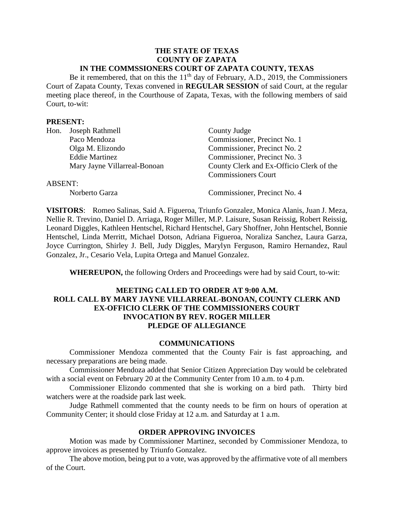### **THE STATE OF TEXAS COUNTY OF ZAPATA IN THE COMMSSIONERS COURT OF ZAPATA COUNTY, TEXAS**

Be it remembered, that on this the  $11<sup>th</sup>$  day of February, A.D., 2019, the Commissioners Court of Zapata County, Texas convened in **REGULAR SESSION** of said Court, at the regular meeting place thereof, in the Courthouse of Zapata, Texas, with the following members of said Court, to-wit:

### **PRESENT:**

| Hon.           | Joseph Rathmell              | County Judge                             |
|----------------|------------------------------|------------------------------------------|
|                | Paco Mendoza                 | Commissioner, Precinct No. 1             |
|                | Olga M. Elizondo             | Commissioner, Precinct No. 2             |
|                | <b>Eddie Martinez</b>        | Commissioner, Precinct No. 3             |
|                | Mary Jayne Villarreal-Bonoan | County Clerk and Ex-Officio Clerk of the |
|                |                              | <b>Commissioners Court</b>               |
| <b>ABSENT:</b> |                              |                                          |
|                | Norberto Garza               | Commissioner, Precinct No. 4             |

**VISITORS**: Romeo Salinas, Said A. Figueroa, Triunfo Gonzalez, Monica Alanis, Juan J. Meza, Nellie R. Trevino, Daniel D. Arriaga, Roger Miller, M.P. Laisure, Susan Reissig, Robert Reissig, Leonard Diggles, Kathleen Hentschel, Richard Hentschel, Gary Shoffner, John Hentschel, Bonnie Hentschel, Linda Merritt, Michael Dotson, Adriana Figueroa, Noraliza Sanchez, Laura Garza, Joyce Currington, Shirley J. Bell, Judy Diggles, Marylyn Ferguson, Ramiro Hernandez, Raul Gonzalez, Jr., Cesario Vela, Lupita Ortega and Manuel Gonzalez.

**WHEREUPON,** the following Orders and Proceedings were had by said Court, to-wit:

### **MEETING CALLED TO ORDER AT 9:00 A.M. ROLL CALL BY MARY JAYNE VILLARREAL-BONOAN, COUNTY CLERK AND EX-OFFICIO CLERK OF THE COMMISSIONERS COURT INVOCATION BY REV. ROGER MILLER PLEDGE OF ALLEGIANCE**

#### **COMMUNICATIONS**

Commissioner Mendoza commented that the County Fair is fast approaching, and necessary preparations are being made.

Commissioner Mendoza added that Senior Citizen Appreciation Day would be celebrated with a social event on February 20 at the Community Center from 10 a.m. to 4 p.m.

Commissioner Elizondo commented that she is working on a bird path. Thirty bird watchers were at the roadside park last week.

Judge Rathmell commented that the county needs to be firm on hours of operation at Community Center; it should close Friday at 12 a.m. and Saturday at 1 a.m.

### **ORDER APPROVING INVOICES**

Motion was made by Commissioner Martinez, seconded by Commissioner Mendoza, to approve invoices as presented by Triunfo Gonzalez.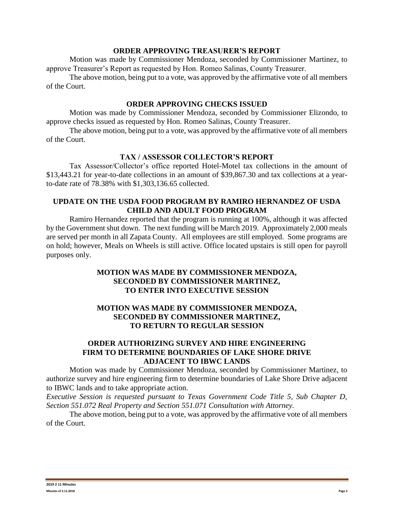### **ORDER APPROVING TREASURER'S REPORT**

Motion was made by Commissioner Mendoza, seconded by Commissioner Martinez, to approve Treasurer's Report as requested by Hon. Romeo Salinas, County Treasurer.

The above motion, being put to a vote, was approved by the affirmative vote of all members of the Court.

### **ORDER APPROVING CHECKS ISSUED**

Motion was made by Commissioner Mendoza, seconded by Commissioner Elizondo, to approve checks issued as requested by Hon. Romeo Salinas, County Treasurer.

The above motion, being put to a vote, was approved by the affirmative vote of all members of the Court.

# **TAX / ASSESSOR COLLECTOR'S REPORT**

Tax Assessor/Collector's office reported Hotel-Motel tax collections in the amount of \$13,443.21 for year-to-date collections in an amount of \$39,867.30 and tax collections at a yearto-date rate of 78.38% with \$1,303,136.65 collected.

# **UPDATE ON THE USDA FOOD PROGRAM BY RAMIRO HERNANDEZ OF USDA CHILD AND ADULT FOOD PROGRAM**

Ramiro Hernandez reported that the program is running at 100%, although it was affected by the Government shut down. The next funding will be March 2019. Approximately 2,000 meals are served per month in all Zapata County. All employees are still employed. Some programs are on hold; however, Meals on Wheels is still active. Office located upstairs is still open for payroll purposes only.

# **MOTION WAS MADE BY COMMISSIONER MENDOZA, SECONDED BY COMMISSIONER MARTINEZ, TO ENTER INTO EXECUTIVE SESSION**

# **MOTION WAS MADE BY COMMISSIONER MENDOZA, SECONDED BY COMMISSIONER MARTINEZ, TO RETURN TO REGULAR SESSION**

## **ORDER AUTHORIZING SURVEY AND HIRE ENGINEERING FIRM TO DETERMINE BOUNDARIES OF LAKE SHORE DRIVE ADJACENT TO IBWC LANDS**

Motion was made by Commissioner Mendoza, seconded by Commissioner Martinez, to authorize survey and hire engineering firm to determine boundaries of Lake Shore Drive adjacent to IBWC lands and to take appropriate action.

*Executive Session is requested pursuant to Texas Government Code Title 5, Sub Chapter D, Section 551.072 Real Property and Section 551.071 Consultation with Attorney.*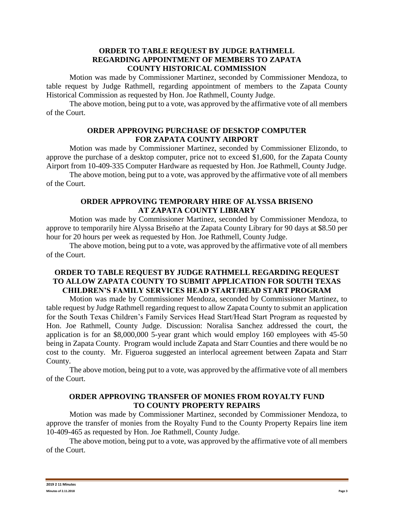### **ORDER TO TABLE REQUEST BY JUDGE RATHMELL REGARDING APPOINTMENT OF MEMBERS TO ZAPATA COUNTY HISTORICAL COMMISSION**

Motion was made by Commissioner Martinez, seconded by Commissioner Mendoza, to table request by Judge Rathmell, regarding appointment of members to the Zapata County Historical Commission as requested by Hon. Joe Rathmell, County Judge.

The above motion, being put to a vote, was approved by the affirmative vote of all members of the Court.

# **ORDER APPROVING PURCHASE OF DESKTOP COMPUTER FOR ZAPATA COUNTY AIRPORT**

Motion was made by Commissioner Martinez, seconded by Commissioner Elizondo, to approve the purchase of a desktop computer, price not to exceed \$1,600, for the Zapata County Airport from 10-409-335 Computer Hardware as requested by Hon. Joe Rathmell, County Judge.

The above motion, being put to a vote, was approved by the affirmative vote of all members of the Court.

# **ORDER APPROVING TEMPORARY HIRE OF ALYSSA BRISENO AT ZAPATA COUNTY LIBRARY**

Motion was made by Commissioner Martinez, seconded by Commissioner Mendoza, to approve to temporarily hire Alyssa Briseño at the Zapata County Library for 90 days at \$8.50 per hour for 20 hours per week as requested by Hon. Joe Rathmell, County Judge.

The above motion, being put to a vote, was approved by the affirmative vote of all members of the Court.

# **ORDER TO TABLE REQUEST BY JUDGE RATHMELL REGARDING REQUEST TO ALLOW ZAPATA COUNTY TO SUBMIT APPLICATION FOR SOUTH TEXAS CHILDREN'S FAMILY SERVICES HEAD START/HEAD START PROGRAM**

Motion was made by Commissioner Mendoza, seconded by Commissioner Martinez, to table request by Judge Rathmell regarding request to allow Zapata County to submit an application for the South Texas Children's Family Services Head Start/Head Start Program as requested by Hon. Joe Rathmell, County Judge. Discussion: Noralisa Sanchez addressed the court, the application is for an \$8,000,000 5-year grant which would employ 160 employees with 45-50 being in Zapata County. Program would include Zapata and Starr Counties and there would be no cost to the county. Mr. Figueroa suggested an interlocal agreement between Zapata and Starr County.

The above motion, being put to a vote, was approved by the affirmative vote of all members of the Court.

# **ORDER APPROVING TRANSFER OF MONIES FROM ROYALTY FUND TO COUNTY PROPERTY REPAIRS**

Motion was made by Commissioner Martinez, seconded by Commissioner Mendoza, to approve the transfer of monies from the Royalty Fund to the County Property Repairs line item 10-409-465 as requested by Hon. Joe Rathmell, County Judge.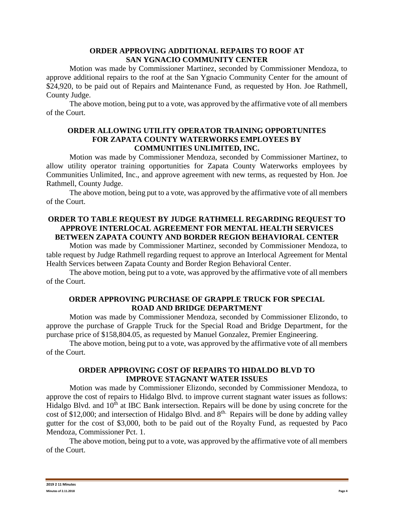### **ORDER APPROVING ADDITIONAL REPAIRS TO ROOF AT SAN YGNACIO COMMUNITY CENTER**

Motion was made by Commissioner Martinez, seconded by Commissioner Mendoza, to approve additional repairs to the roof at the San Ygnacio Community Center for the amount of \$24,920, to be paid out of Repairs and Maintenance Fund, as requested by Hon. Joe Rathmell, County Judge.

The above motion, being put to a vote, was approved by the affirmative vote of all members of the Court.

### **ORDER ALLOWING UTILITY OPERATOR TRAINING OPPORTUNITES FOR ZAPATA COUNTY WATERWORKS EMPLOYEES BY COMMUNITIES UNLIMITED, INC.**

Motion was made by Commissioner Mendoza, seconded by Commissioner Martinez, to allow utility operator training opportunities for Zapata County Waterworks employees by Communities Unlimited, Inc., and approve agreement with new terms, as requested by Hon. Joe Rathmell, County Judge.

The above motion, being put to a vote, was approved by the affirmative vote of all members of the Court.

# **ORDER TO TABLE REQUEST BY JUDGE RATHMELL REGARDING REQUEST TO APPROVE INTERLOCAL AGREEMENT FOR MENTAL HEALTH SERVICES BETWEEN ZAPATA COUNTY AND BORDER REGION BEHAVIORAL CENTER**

Motion was made by Commissioner Martinez, seconded by Commissioner Mendoza, to table request by Judge Rathmell regarding request to approve an Interlocal Agreement for Mental Health Services between Zapata County and Border Region Behavioral Center.

The above motion, being put to a vote, was approved by the affirmative vote of all members of the Court.

# **ORDER APPROVING PURCHASE OF GRAPPLE TRUCK FOR SPECIAL ROAD AND BRIDGE DEPARTMENT**

Motion was made by Commissioner Mendoza, seconded by Commissioner Elizondo, to approve the purchase of Grapple Truck for the Special Road and Bridge Department, for the purchase price of \$158,804.05, as requested by Manuel Gonzalez, Premier Engineering.

The above motion, being put to a vote, was approved by the affirmative vote of all members of the Court.

# **ORDER APPROVING COST OF REPAIRS TO HIDALDO BLVD TO IMPROVE STAGNANT WATER ISSUES**

Motion was made by Commissioner Elizondo, seconded by Commissioner Mendoza, to approve the cost of repairs to Hidalgo Blvd. to improve current stagnant water issues as follows: Hidalgo Blvd. and 10<sup>th</sup> at IBC Bank intersection. Repairs will be done by using concrete for the cost of \$12,000; and intersection of Hidalgo Blvd. and 8<sup>th.</sup> Repairs will be done by adding valley gutter for the cost of \$3,000, both to be paid out of the Royalty Fund, as requested by Paco Mendoza, Commissioner Pct. 1.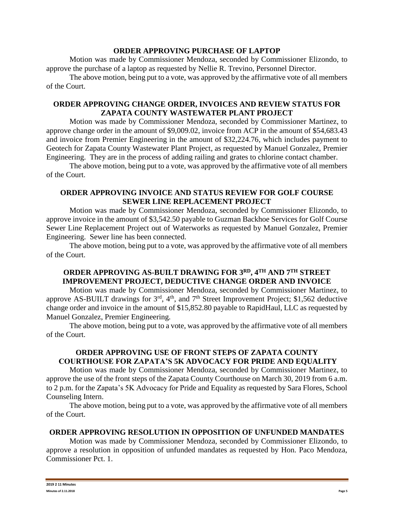# **ORDER APPROVING PURCHASE OF LAPTOP**

Motion was made by Commissioner Mendoza, seconded by Commissioner Elizondo, to approve the purchase of a laptop as requested by Nellie R. Trevino, Personnel Director.

The above motion, being put to a vote, was approved by the affirmative vote of all members of the Court.

# **ORDER APPROVING CHANGE ORDER, INVOICES AND REVIEW STATUS FOR ZAPATA COUNTY WASTEWATER PLANT PROJECT**

Motion was made by Commissioner Mendoza, seconded by Commissioner Martinez, to approve change order in the amount of \$9,009.02, invoice from ACP in the amount of \$54,683.43 and invoice from Premier Engineering in the amount of \$32,224.76, which includes payment to Geotech for Zapata County Wastewater Plant Project, as requested by Manuel Gonzalez, Premier Engineering. They are in the process of adding railing and grates to chlorine contact chamber.

The above motion, being put to a vote, was approved by the affirmative vote of all members of the Court.

# **ORDER APPROVING INVOICE AND STATUS REVIEW FOR GOLF COURSE SEWER LINE REPLACEMENT PROJECT**

Motion was made by Commissioner Mendoza, seconded by Commissioner Elizondo, to approve invoice in the amount of \$3,542.50 payable to Guzman Backhoe Services for Golf Course Sewer Line Replacement Project out of Waterworks as requested by Manuel Gonzalez, Premier Engineering. Sewer line has been connected.

The above motion, being put to a vote, was approved by the affirmative vote of all members of the Court.

# **ORDER APPROVING AS-BUILT DRAWING FOR 3RD, 4TH AND 7TH STREET IMPROVEMENT PROJECT, DEDUCTIVE CHANGE ORDER AND INVOICE**

Motion was made by Commissioner Mendoza, seconded by Commissioner Martinez, to approve AS-BUILT drawings for  $3<sup>rd</sup>$ ,  $4<sup>th</sup>$ , and  $7<sup>th</sup>$  Street Improvement Project; \$1,562 deductive change order and invoice in the amount of \$15,852.80 payable to RapidHaul, LLC as requested by Manuel Gonzalez, Premier Engineering.

The above motion, being put to a vote, was approved by the affirmative vote of all members of the Court.

# **ORDER APPROVING USE OF FRONT STEPS OF ZAPATA COUNTY COURTHOUSE FOR ZAPATA'S 5K ADVOCACY FOR PRIDE AND EQUALITY**

Motion was made by Commissioner Mendoza, seconded by Commissioner Martinez, to approve the use of the front steps of the Zapata County Courthouse on March 30, 2019 from 6 a.m. to 2 p.m. for the Zapata's 5K Advocacy for Pride and Equality as requested by Sara Flores, School Counseling Intern.

The above motion, being put to a vote, was approved by the affirmative vote of all members of the Court.

### **ORDER APPROVING RESOLUTION IN OPPOSITION OF UNFUNDED MANDATES**

Motion was made by Commissioner Mendoza, seconded by Commissioner Elizondo, to approve a resolution in opposition of unfunded mandates as requested by Hon. Paco Mendoza, Commissioner Pct. 1.